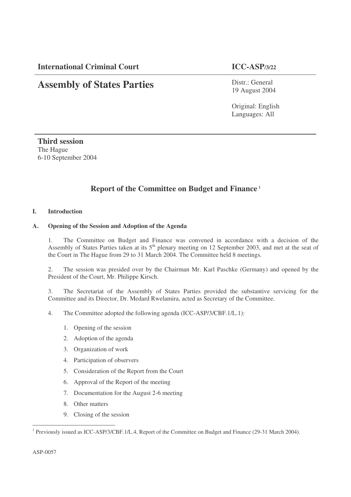**International Criminal Court ICC-ASP/3/22**

# **Assembly of States Parties**

Distr.: General 19 August 2004

Original: English Languages: All

**Third session** The Hague 6-10 September 2004

## **Report of the Committee on Budget and Finance 1**

#### **I. Introduction**

#### **A. Opening of the Session and Adoption of the Agenda**

1. The Committee on Budget and Finance was convened in accordance with a decision of the Assembly of States Parties taken at its 5<sup>th</sup> plenary meeting on 12 September 2003, and met at the seat of the Court in The Hague from 29 to 31 March 2004. The Committee held 8 meetings.

2. The session was presided over by the Chairman Mr. Karl Paschke (Germany) and opened by the President of the Court, Mr. Philippe Kirsch.

3. The Secretariat of the Assembly of States Parties provided the substantive servicing for the Committee and its Director, Dr. Medard Rwelamira, acted as Secretary of the Committee.

- 4. The Committee adopted the following agenda (ICC-ASP/3/CBF.1/L.1):
	- 1. Opening of the session
	- 2. Adoption of the agenda
	- 3. Organization of work
	- 4. Participation of observers
	- 5. Consideration of the Report from the Court
	- 6. Approval of the Report of the meeting
	- 7. Documentation for the August 2-6 meeting
	- 8. Other matters
	- 9. Closing of the session

<sup>&</sup>lt;sup>1</sup> Previously issued as ICC-ASP/3/CBF.1/L.4, Report of the Committee on Budget and Finance (29-31 March 2004).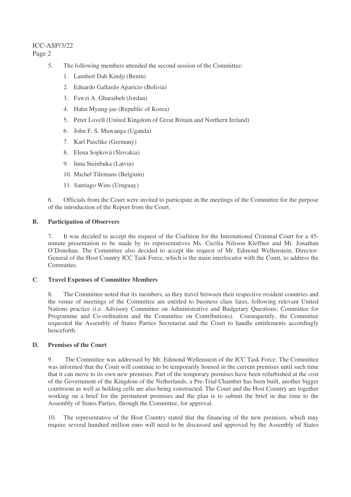## ICC-ASP/3/22 Page 2

- 5. The following members attended the second session of the Committee:
	- 1. Lambert Dah Kindji (Benin)
	- 2. Eduardo Gallardo Aparicio (Bolivia)
	- 3. Fawzi A. Gharaibeh (Jordan)
	- 4. Hahn Myung-jae (Republic of Korea)
	- 5. Peter Lovell (United Kingdom of Great Britain and Northern Ireland)
	- 6. John F. S. Muwanga (Uganda)
	- 7. Karl Paschke (Germany)
	- 8. Elena Sopková (Slovakia)
	- 9. Inna Steinbuka (Latvia)
	- 10. Michel Tilemans (Belgium)
	- 11. Santiago Wins (Uruguay)

6. Officials from the Court were invited to participate in the meetings of the Committee for the purpose of the introduction of the Report from the Court.

#### **B. Participation of Observers**

7. It was decided to accept the request of the Coalition for the International Criminal Court for a 45 minute presentation to be made by its representatives Ms. Cecilia Nilsson Kleffner and Mr. Jonathan O'Donohue. The Committee also decided to accept the request of Mr. Edmond Wellenstein, Director-General of the Host Country ICC Task Force, which is the main interlocutor with the Court, to address the Committee.

#### **C**. **Travel Expenses of Committee Members**

8. The Committee noted that its members, as they travel between their respective resident countries and the venue of meetings of the Committee are entitled to business class fares, following relevant United Nations practice (i.e. Advisory Committee on Administrative and Budgetary Questions; Committee for Programme and Co-ordination and the Committee on Contributions). Consequently, the Committee requested the Assembly of States Parties Secretariat and the Court to handle entitlements accordingly henceforth.

## **D. Premises of the Court**

9. The Committee was addressed by Mr. Edmond Wellenstein of the ICC Task Force. The Committee was informed that the Court will continue to be temporarily housed in the current premises until such time that it can move to its own new premises. Part of the temporary premises have been refurbished at the cost of the Government of the Kingdom of the Netherlands, a Pre-Trial Chamber has been built, another bigger courtroom as well as holding cells are also being constructed. The Court and the Host Country are together working on a brief for the permanent premises and the plan is to submit the brief in due time to the Assembly of States Parties, through the Committee, for approval.

10. The representative of the Host Country stated that the financing of the new premises, which may require several hundred million euro will need to be discussed and approved by the Assembly of States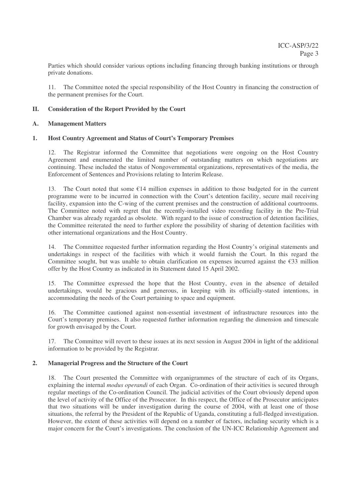Parties which should consider various options including financing through banking institutions or through private donations.

11. The Committee noted the special responsibility of the Host Country in financing the construction of the permanent premises for the Court.

#### **II. Consideration of the Report Provided by the Court**

#### **A. Management Matters**

#### **1. Host Country Agreement and Status of Court's Temporary Premises**

12. The Registrar informed the Committee that negotiations were ongoing on the Host Country Agreement and enumerated the limited number of outstanding matters on which negotiations are continuing. These included the status of Nongovernmental organizations, representatives of the media, the Enforcement of Sentences and Provisions relating to Interim Release.

13. The Court noted that some  $\epsilon$ 14 million expenses in addition to those budgeted for in the current programme were to be incurred in connection with the Court's detention facility, secure mail receiving facility, expansion into the C-wing of the current premises and the construction of additional courtrooms. The Committee noted with regret that the recently-installed video recording facility in the Pre-Trial Chamber was already regarded as obsolete. With regard to the issue of construction of detention facilities, the Committee reiterated the need to further explore the possibility of sharing of detention facilities with other international organizations and the Host Country.

14. The Committee requested further information regarding the Host Country's original statements and undertakings in respect of the facilities with which it would furnish the Court. In this regard the Committee sought, but was unable to obtain clarification on expenses incurred against the  $\epsilon$ 33 million offer by the Host Country as indicated in its Statement dated 15 April 2002.

15. The Committee expressed the hope that the Host Country, even in the absence of detailed undertakings, would be gracious and generous, in keeping with its officially-stated intentions, in accommodating the needs of the Court pertaining to space and equipment.

16. The Committee cautioned against non-essential investment of infrastructure resources into the Court's temporary premises. It also requested further information regarding the dimension and timescale for growth envisaged by the Court.

17. The Committee will revert to these issues at its next session in August 2004 in light of the additional information to be provided by the Registrar.

#### **2. Managerial Progress and the Structure of the Court**

18. The Court presented the Committee with organigrammes of the structure of each of its Organs, explaining the internal *modus operandi* of each Organ. Co-ordination of their activities is secured through regular meetings of the Co-ordination Council. The judicial activities of the Court obviously depend upon the level of activity of the Office of the Prosecutor. In this respect, the Office of the Prosecutor anticipates that two situations will be under investigation during the course of 2004, with at least one of those situations, the referral by the President of the Republic of Uganda, constituting a full-fledged investigation. However, the extent of these activities will depend on a number of factors, including security which is a major concern for the Court's investigations. The conclusion of the UN-ICC Relationship Agreement and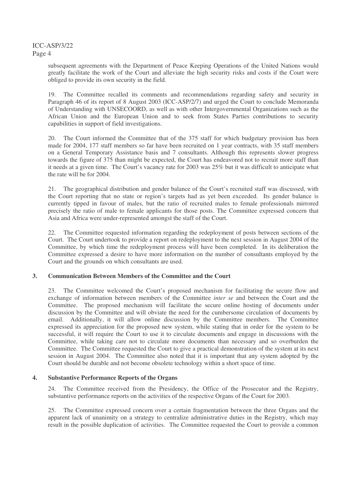ICC-ASP/3/22 Page 4

> subsequent agreements with the Department of Peace Keeping Operations of the United Nations would greatly facilitate the work of the Court and alleviate the high security risks and costs if the Court were obliged to provide its own security in the field.

> 19. The Committee recalled its comments and recommendations regarding safety and security in Paragraph 46 of its report of 8 August 2003 (ICC-ASP/2/7) and urged the Court to conclude Memoranda of Understanding with UNSECOORD, as well as with other Intergovernmental Organizations such as the African Union and the European Union and to seek from States Parties contributions to security capabilities in support of field investigations.

> 20. The Court informed the Committee that of the 375 staff for which budgetary provision has been made for 2004, 177 staff members so far have been recruited on 1 year contracts, with 35 staff members on a General Temporary Assistance basis and 7 consultants. Although this represents slower progress towards the figure of 375 than might be expected, the Court has endeavored not to recruit more staff than it needs at a given time. The Court's vacancy rate for 2003 was 25% but it was difficult to anticipate what the rate will be for 2004.

> 21. The geographical distribution and gender balance of the Court's recruited staff was discussed, with the Court reporting that no state or region's targets had as yet been exceeded. Its gender balance is currently tipped in favour of males, but the ratio of recruited males to female professionals mirrored precisely the ratio of male to female applicants for those posts. The Committee expressed concern that Asia and Africa were under-represented amongst the staff of the Court.

> 22. The Committee requested information regarding the redeployment of posts between sections of the Court. The Court undertook to provide a report on redeployment to the next session in August 2004 of the Committee, by which time the redeployment process will have been completed. In its deliberation the Committee expressed a desire to have more information on the number of consultants employed by the Court and the grounds on which consultants are used.

#### **3. Communication Between Members of the Committee and the Court**

23. The Committee welcomed the Court's proposed mechanism for facilitating the secure flow and exchange of information between members of the Committee *inter se* and between the Court and the Committee. The proposed mechanism will facilitate the secure online hosting of documents under discussion by the Committee and will obviate the need for the cumbersome circulation of documents by email. Additionally, it will allow online discussion by the Committee members. The Committee expressed its appreciation for the proposed new system, while stating that in order for the system to be successful, it will require the Court to use it to circulate documents and engage in discussions with the Committee, while taking care not to circulate more documents than necessary and so overburden the Committee. The Committee requested the Court to give a practical demonstration of the system at its next session in August 2004. The Committee also noted that it is important that any system adopted by the Court should be durable and not become obsolete technology within a short space of time.

#### **4. Substantive Performance Reports of the Organs**

24. The Committee received from the Presidency, the Office of the Prosecutor and the Registry, substantive performance reports on the activities of the respective Organs of the Court for 2003.

25. The Committee expressed concern over a certain fragmentation between the three Organs and the apparent lack of unanimity on a strategy to centralize administrative duties in the Registry, which may result in the possible duplication of activities. The Committee requested the Court to provide a common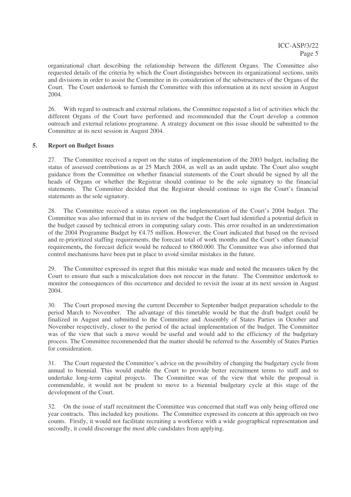organizational chart describing the relationship between the different Organs. The Committee also requested details of the criteria by which the Court distinguishes between its organizational sections, units and divisions in order to assist the Committee in its consideration of the substructures of the Organs of the Court. The Court undertook to furnish the Committee with this information at its next session in August 2004.

26. With regard to outreach and external relations, the Committee requested a list of activities which the different Organs of the Court have performed and recommended that the Court develop a common outreach and external relations programme. A strategy document on this issue should be submitted to the Committee at its next session in August 2004.

#### **5. Report on Budget Issues**

27. The Committee received a report on the status of implementation of the 2003 budget, including the status of assessed contributions as at 25 March 2004, as well as an audit update. The Court also sought guidance from the Committee on whether financial statements of the Court should be signed by all the heads of Organs or whether the Registrar should continue to be the sole signatory to the financial statements. The Committee decided that the Registrar should continue to sign the Court's financial statements as the sole signatory.

28. The Committee received a status report on the implementation of the Court's 2004 budget. The Committee was also informed that in its review of the budget the Court had identified a potential deficit in the budget caused by technical errors in computing salary costs. This error resulted in an underestimation of the 2004 Programme Budget by €4.75 million. However, the Court indicated that based on the revised and re-prioritized staffing requirements, the forecast total of work months and the Court's other financial requirements**,** the forecast deficit would be reduced to €860.000. The Committee was also informed that control mechanisms have been put in place to avoid similar mistakes in the future.

29. The Committee expressed its regret that this mistake was made and noted the measures taken by the Court to ensure that such a miscalculation does not reoccur in the future. The Committee undertook to monitor the consequences of this occurrence and decided to revisit the issue at its next session in August 2004.

30. The Court proposed moving the current December to September budget preparation schedule to the period March to November. The advantage of this timetable would be that the draft budget could be finalized in August and submitted to the Committee and Assembly of States Parties in October and November respectively, closer to the period of the actual implementation of the budget. The Committee was of the view that such a move would be useful and would add to the efficiency of the budgetary process. The Committee recommended that the matter should be referred to the Assembly of States Parties for consideration.

31. The Court requested the Committee's advice on the possibility of changing the budgetary cycle from annual to biennial. This would enable the Court to provide better recruitment terms to staff and to undertake long-term capital projects. The Committee was of the view that while the proposal is commendable, it would not be prudent to move to a biennial budgetary cycle at this stage of the development of the Court.

32. On the issue of staff recruitment the Committee was concerned that staff was only being offered one year contracts. This included key positions. The Committee expressed its concern at this approach on two counts. Firstly, it would not facilitate recruiting a workforce with a wide geographical representation and secondly, it could discourage the most able candidates from applying.